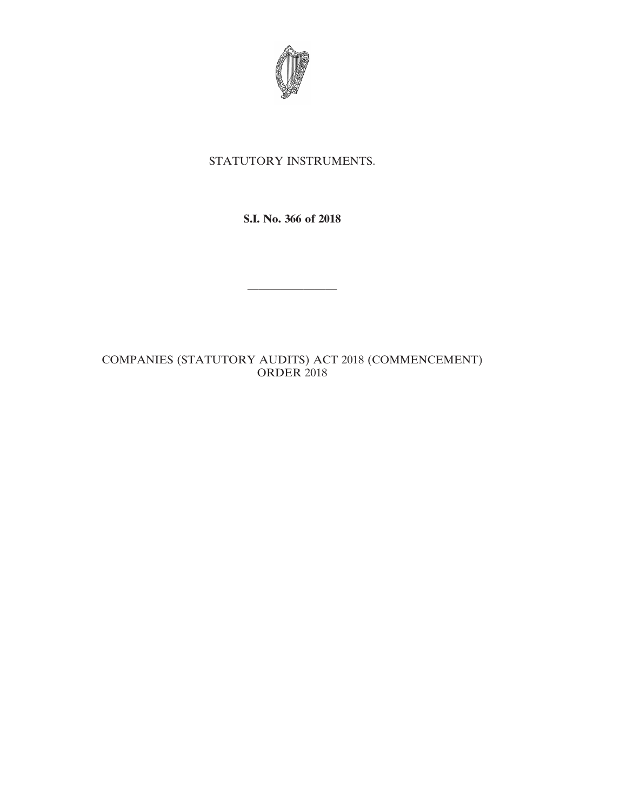

## STATUTORY INSTRUMENTS.

**S.I. No. 366 of 2018**

————————

## COMPANIES (STATUTORY AUDITS) ACT 2018 (COMMENCEMENT) ORDER 2018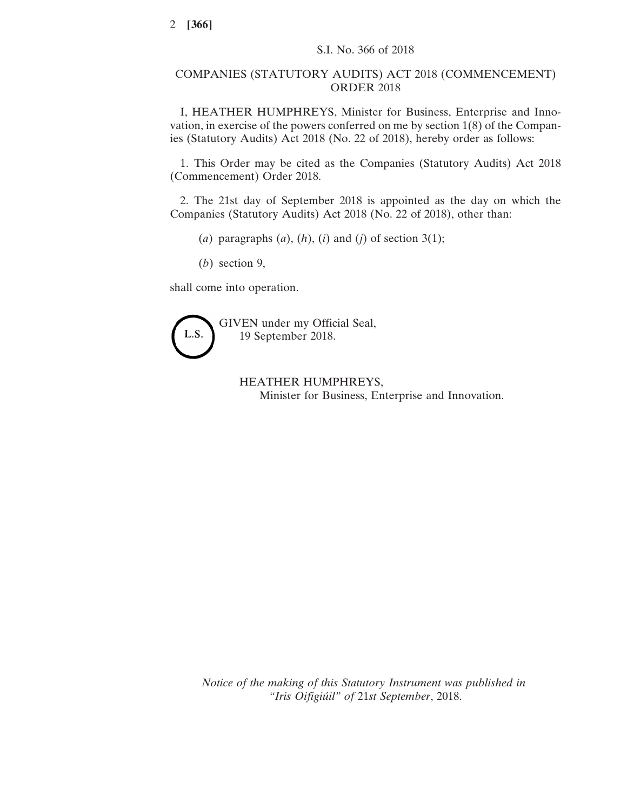## COMPANIES (STATUTORY AUDITS) ACT 2018 (COMMENCEMENT) ORDER 2018

I, HEATHER HUMPHREYS, Minister for Business, Enterprise and Innovation, in exercise of the powers conferred on me by section 1(8) of the Companies (Statutory Audits) Act 2018 (No. 22 of 2018), hereby order as follows:

1. This Order may be cited as the Companies (Statutory Audits) Act 2018 (Commencement) Order 2018.

2. The 21st day of September 2018 is appointed as the day on which the Companies (Statutory Audits) Act 2018 (No. 22 of 2018), other than:

- (*a*) paragraphs  $(a)$ ,  $(h)$ ,  $(i)$  and  $(j)$  of section 3(1);
- (*b*) section 9,

shall come into operation.



HEATHER HUMPHREYS, Minister for Business, Enterprise and Innovation.

*Notice of the making of this Statutory Instrument was published in "Iris Oifigiúil" of* 21*st September*, 2018.